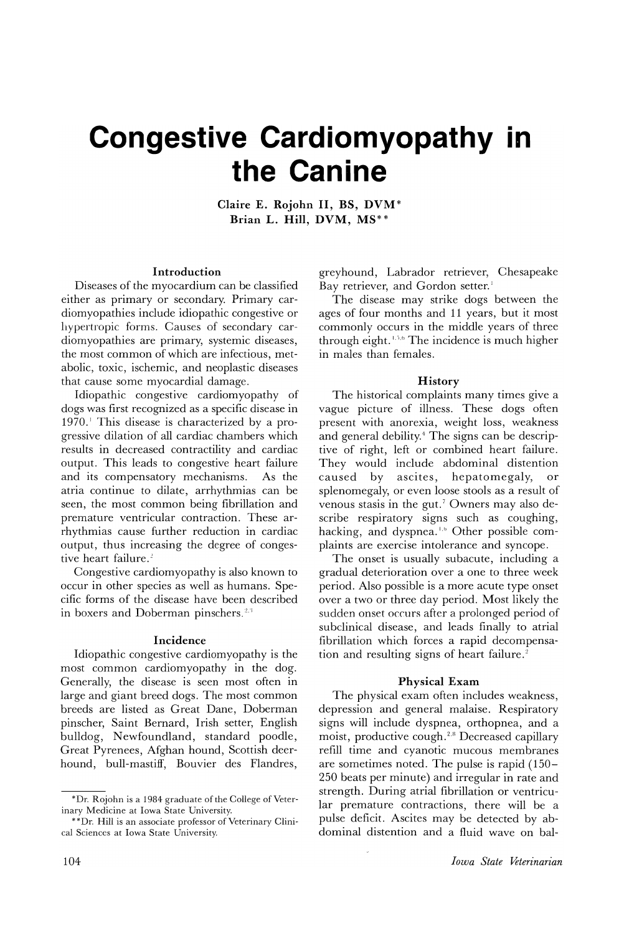# **Congestive Cardiomyopathy** • **In the Canine**

Claire E. Rojohn II, BS, DVM\* Brian L. Hill, DVM, MS\*\*

#### Introduction

Diseases of the myocardium can be classified either as primary or secondary. Primary cardiomyopathies include idiopathic congestive or hypertropic forms. Causes of secondary cardiomyopathies are primary, systemic diseases, the most common of which are infectious, metabolic, toxic, ischemic, and neoplastic diseases that cause some myocardial damage.

Idiopathic congestive cardiomyopathy of dogs was first recognized as a specific disease in  $1970$ . This disease is characterized by a progressive dilation of all cardiac chambers which results in decreased contractility and cardiac output. This leads to congestive heart failure and its compensatory mechanisms. As the atria continue to dilate, arrhythmias can be seen, the most common being fibrillation and premature ventricular contraction. These arrhythmias cause further reduction in cardiac output, thus increasing the degree of congestive heart failure.<sup>2</sup>

Congestive cardiomyopathy is also known to occur in other species as well as humans. Specific forms of the disease have been described in boxers and Doberman pinschers.<sup>2,3</sup>

#### Incidence

Idiopathic congestive cardiomyopathy is the most common cardiomyopathy in the dog. Generally, the disease is seen most often in large and giant breed dogs. The most common breeds are listed as Great Dane, Doberman pinscher, Saint Bernard, Irish setter, English bulldog, Newfoundland, standard poodle, Great Pyrenees, Afghan hound, Scottish deerhound, bull-mastiff, Bouvier des Flandres,

greyhound, Labrador retriever, Chesapeake Bay retriever, and Gordon setter.<sup>1</sup>

The disease may strike dogs between the ages of four months and 11 years, but it most commonly occurs in the middle years of three through eight.  $\frac{1}{2}$ , The incidence is much higher in males than females.

#### **History**

The historical complaints many times give a vague picture of illness. These dogs often present with anorexia, weight loss, weakness and general debility.<sup>4</sup> The signs can be descriptive of right, left or combined heart failure. They would include abdominal distention<br>caused by ascites, hepatomegaly, or caused by ascites, hepatomegaly, or splenomegaly, or even loose stools as a result of venous stasis in the gut.<sup>7</sup> Owners may also describe respiratory signs such as coughing, hacking, and dyspnea.<sup>1,6</sup> Other possible complaints are exercise intolerance and syncope.

The onset is usually subacute, including a gradual deterioration over a one to three week period. Also possible is a more acute type onset over a two or three day period. Most likely the sudden onset occurs after a prolonged period of subclinical disease, and leads finally to atrial fibrillation which forces a rapid decompensation and resulting signs of heart failure.<sup>2</sup>

#### Physical Exam

The physical exam often includes weakness, depression and general malaise. Respiratory signs will include dyspnea, orthopnea, and a moist, productive cough.<sup>2,8</sup> Decreased capillary refill time and cyanotic mucous membranes are sometimes noted. The pulse is rapid (150- 250 beats per minute) and irregular in rate and strength. During atrial fibrillation or ventricular premature contractions, there will be a pulse deficit. Ascites may be detected by abdominal distention and a fluid wave on bal-

<sup>\*</sup>Dr. Rojohn is a 1984 graduate of the College of Veterinary Medicine at Iowa State University.

<sup>\*\*</sup>Dr. Hill is an associate professor of Veterinary Clinical Sciences at Iowa State University.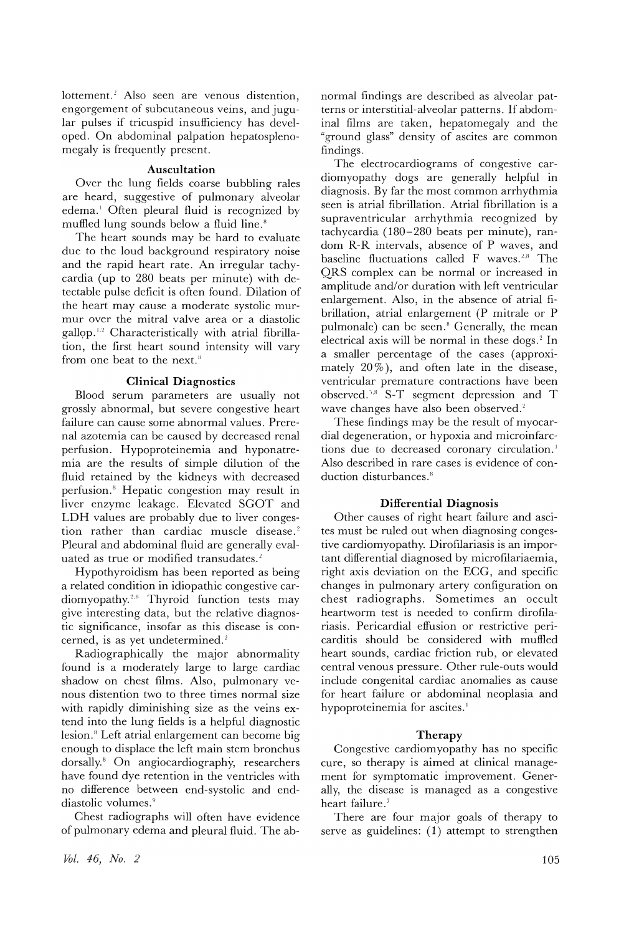lottement.<sup>2</sup> Also seen are venous distention, engorgement of subcutaneous veins, and jugular pulses if tricuspid insufficiency has developed. On abdominal palpation hepatosplenomegaly is frequently present.

#### **Auscultation**

Over the lung fields coarse bubbling rales are heard, suggestive of pulmonary alveolar edema.<sup>1</sup> Often pleural fluid is recognized by muffled lung sounds below a fluid line.<sup>8</sup>

The heart sounds may be hard to evaluate due to the loud background respiratory noise and the rapid heart rate. An irregular tachycardia (up to 280 beats per minute) with detectable pulse deficit is often found. Dilation of the heart may cause a moderate systolic murmur over the mitral valve area or a diastolic  $g$ allop.<sup>1,2</sup> Characteristically with atrial fibrillation, the first heart sound intensity will vary from one beat to the next.<sup>8</sup>

#### **Clinical Diagnostics**

Blood serum parameters are usually not grossly abnormal, but severe congestive heart failure can cause some abnormal values. Prerenal azotemia can be caused by decreased renal perfusion. Hypoproteinemia and hyponatremia are the results of simple dilution of the fluid retained by the kidneys with decreased perfusion.<sup>8</sup> Hepatic congestion may result in liver enzyme leakage. Elevated SGOT and LDH values are probably due to liver congestion rather than cardiac muscle disease.<sup>2</sup> Pleural and abdominal fluid are generally evaluated as true or modified transudates.<sup>2</sup>

Hypothyroidism has been reported as being a related condition in idiopathic congestive cardiomyopathy.<sup>2,8</sup> Thyroid function tests may give interesting data, but the relative diagnostic significance, insofar as this disease is concerned, is as yet undetermined.<sup>2</sup>

Radiographically the major abnormality found is a moderately large to large cardiac shadow on chest films. Also, pulmonary venous distention two to three times normal size with rapidly diminishing size as the veins extend into the lung fields is a helpful diagnostic lesion.<sup>8</sup> Left atrial enlargement can become big enough to displace the left main stem bronchus dorsally.<sup>8</sup> On angiocardiography, researchers have found dye retention in the ventricles with no difference between end-systolic and enddiastolic volumes.<sup>9</sup>

Chest radiographs will often have evidence of pulmonary edema and pleural fluid. The abnormal findings are described as alveolar patterns or interstitial-alveolar patterns. If abdominal films are taken, hepatomegaly and the "ground glass" density of ascites are common findings.

The electrocardiograms of congestive cardiomyopathy dogs are generally helpful in diagnosis. By far the most common arrhythmia seen is atrial fibrillation. Atrial fibrillation is a supraventricular arrhythmia recognized by tachycardia (180-280 beats per minute), random R-R intervals, absence of P waves, and  $\alpha$  paseline fluctuations called F waves.<sup>2,8</sup> The QRS complex can be normal or increased in amplitude and/or duration with left ventricular enlargement. Also, in the absence of atrial fibrillation, atrial enlargement (P mitrale or P pulmonale) can be seen.<sup>8</sup> Generally, the mean electrical axis will be normal in these dogs.<sup>2</sup> In a smaller percentage of the cases (approximately  $20\%$ ), and often late in the disease, ventricular premature contractions have been observed.<sup>5,8</sup> S-T segment depression and T wave changes have also been observed.<sup>2</sup>

These findings may be the result of myocardial degeneration, or hypoxia and microinfarctions due to decreased coronary circulation.<sup>1</sup> Also described in rare cases is evidence of conduction disturbances.<sup>8</sup>

#### **Differential Diagnosis**

Other causes of right heart failure and ascites must be ruled out when diagnosing congestive cardiomyopathy. Dirofilariasis is an important differential diagnosed by microfilariaemia, right axis deviation on the ECG, and specific changes in pulmonary artery configuration on chest radiographs. Sometimes an occult heartworm test is needed to confirm dirofilariasis. Pericardial effusion or restrictive pericarditis should be considered with muffled heart sounds, cardiac friction rub, or elevated central venous pressure. Other rule-outs would include congenital cardiac anomalies as cause for heart failure or abdominal neoplasia and hypoproteinemia for ascites.<sup>1</sup>

#### **Therapy**

Congestive cardiomyopathy has no specific cure, so therapy is aimed at clinical management for symptomatic improvement. Generally, the disease is managed as a congestive heart failure.<sup>7</sup>

There are four major goals of therapy to serve as guidelines: (1) attempt to strengthen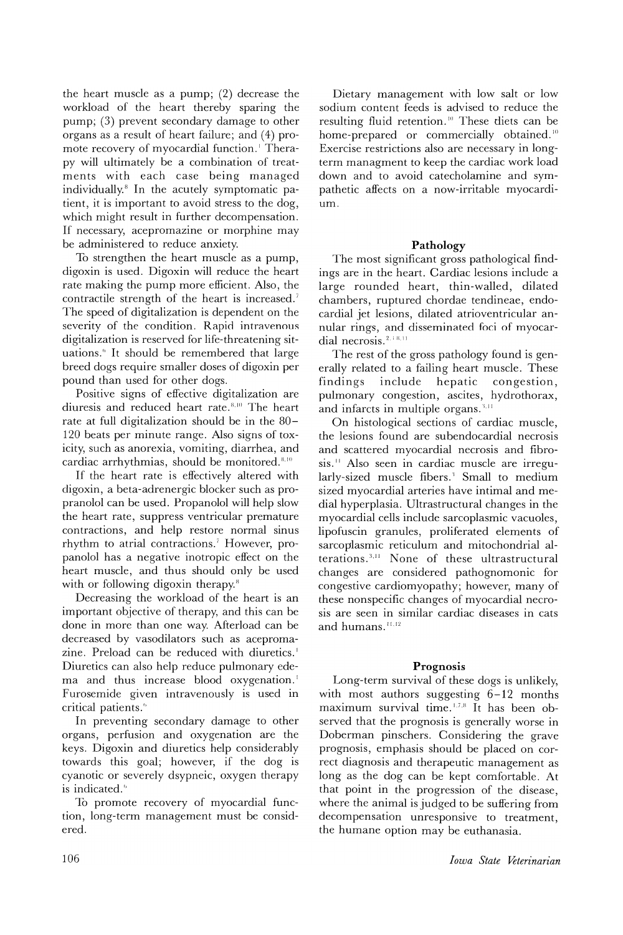the heart muscle as a pump; (2) decrease the workload of the heart thereby sparing the pump; (3) prevent secondary damage to other organs as a result of heart failure; and (4) promote recovery of myocardial function. Therapy will ultimately be a combination of treatments with each case being managed individually.<sup>8</sup> In the acutely symptomatic patient, it is important to avoid stress to the dog, which might result in further decompensation. If necessary, acepromazine or morphine may be administered to reduce anxiety.

To strengthen the heart muscle as a pump, digoxin is used. Digoxin will reduce the heart rate making the pump more efficient. Also, the contractile strength of the heart is increased.<sup>7</sup> The speed of digitalization is dependent on the severity of the condition. Rapid intravenous digitalization is reserved for life-threatening situations.<sup>6</sup> It should be remembered that large breed dogs require smaller doses of digoxin per pound than used for other dogs.

Positive signs of effective digitalization are diuresis and reduced heart rate.<sup>8,10</sup> The heart rate at full digitalization should be in the 80- 120 beats per minute range. Also signs of toxicity, such as anorexia, vomiting, diarrhea, and cardiac arrhythmias, should be monitored.<sup>8,10</sup>

If the heart rate is effectively altered with digoxin, a beta-adrenergic blocker such as propranolol can be used. Propanolol will help slow the heart rate, suppress ventricular premature contractions, and help restore normal sinus rhythm to atrial contractions.<sup>7</sup> However, propanolol has a negative inotropic effect on the heart muscle, and thus should only be used with or following digoxin therapy.<sup>8</sup>

Decreasing the workload of the heart is an important objective of therapy, and this can be done in more than one way. Afterload can be decreased by vasodilators such as acepromazine. Preload can be reduced with diuretics.<sup>1</sup> Diuretics can also help reduce pulmonary edema and thus increase blood oxygenation.<sup>1</sup> Furosemide given intravenously is used in critical patients.<sup>6</sup>

In preventing secondary damage to other organs, perfusion and oxygenation are the keys. Digoxin and diuretics help considerably towards this goal; however, if the dog is cyanotic or severely dsypneic, oxygen therapy is indicated.<sup>6</sup>

To promote recovery of myocardial function, long-term management must be considered.

Dietary management with low salt or low sodium content feeds is advised to reduce the resulting fluid retention.<sup>10</sup> These diets can be home-prepared or commercially obtained.<sup>10</sup> Exercise restrictions also are necessary in longterm managment to keep the cardiac work load down and to avoid catecholamine and sympathetic affects on a now-irritable myocardium.

#### **Pathology**

The most significant gross pathological findings are in the heart. Cardiac lesions include a large rounded heart, thin-walled, dilated chambers, ruptured chordae tendineae, endocardial jet lesions, dilated atrioventricular annular rings, and disseminated foci of myocardial necrosis.<sup>2, 18,11</sup>

The rest of the gross pathology found is generally related to a failing heart muscle. These<br>findings include hepatic congestion, hepatic congestion, pulmonary congestion, ascites, hydrothorax, and infarcts in multiple organs.<sup>3,11</sup>

On histological sections of cardiac muscle, the lesions found are subendocardial necrosis and scattered myocardial necrosis and fibrosis." Also seen in cardiac muscle are irregularly-sized muscle fibers.<sup>3</sup> Small to medium sized myocardial arteries have intimal and medial hyperplasia. Ultrastructural changes in the myocardial cells include sarcoplasmic vacuoles, lipofuscin granules, proliferated elements of sarcoplasmic reticulum and mitochondrial alterations. $3,11$  None of these ultrastructural changes are considered pathognomonic for congestive cardiomyopathy; however, many of these nonspecific changes of myocardial necrosis are seen in similar cardiac diseases in cats and humans.<sup>11,12</sup>

#### **Prognosis**

Long-term survival of these dogs is unlikely, with most authors suggesting 6-12 months maximum survival time.<sup>1.7.8</sup> It has been observed that the prognosis is generally worse in Doberman pinschers. Considering the grave prognosis, emphasis should be placed on correct diagnosis and therapeutic management as long as the dog can be kept comfortable. At that point in the progression of the disease, where the animal is judged to be suffering from decompensation unresponsive to treatment, the humane option may be euthanasia.